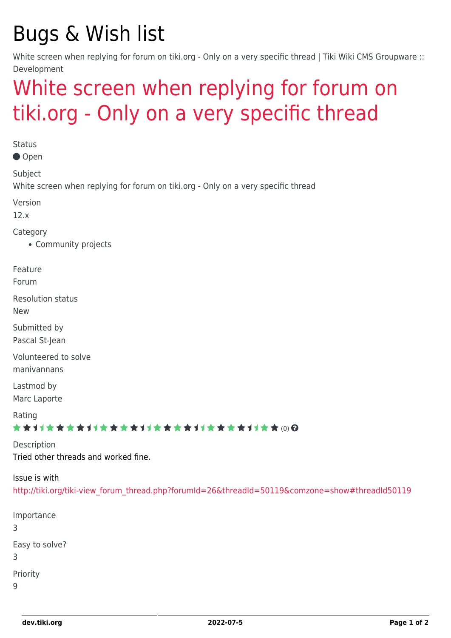## Bugs & Wish list

White screen when replying for forum on tiki.org - Only on a very specific thread | Tiki Wiki CMS Groupware :: Development

## [White screen when replying for forum on](https://dev.tiki.org/item4922-White-screen-when-replying-for-forum-on-tiki-org-Only-on-a-very-specific-thread) [tiki.org - Only on a very specific thread](https://dev.tiki.org/item4922-White-screen-when-replying-for-forum-on-tiki-org-Only-on-a-very-specific-thread)

**Status** 

Open

Subject

White screen when replying for forum on tiki.org - Only on a very specific thread

Version

12.x

Category

• Community projects

Feature

Forum

Resolution status

New

Submitted by Pascal St-Jean

Volunteered to solve manivannans

Lastmod by Marc Laporte

Rating

★★11★★★★11★★★★11★★★★11★★★★11★★ @@

Description Tried other threads and worked fine.

Issue is with [http://tiki.org/tiki-view\\_forum\\_thread.php?forumId=26&threadId=50119&comzone=show#threadId50119](http://tiki.org/tiki-view_forum_thread.php?forumId=26&threadId=50119&comzone=show#threadId50119)

```
Importance
3
Easy to solve?
3
Priority
\mathsf{Q}
```